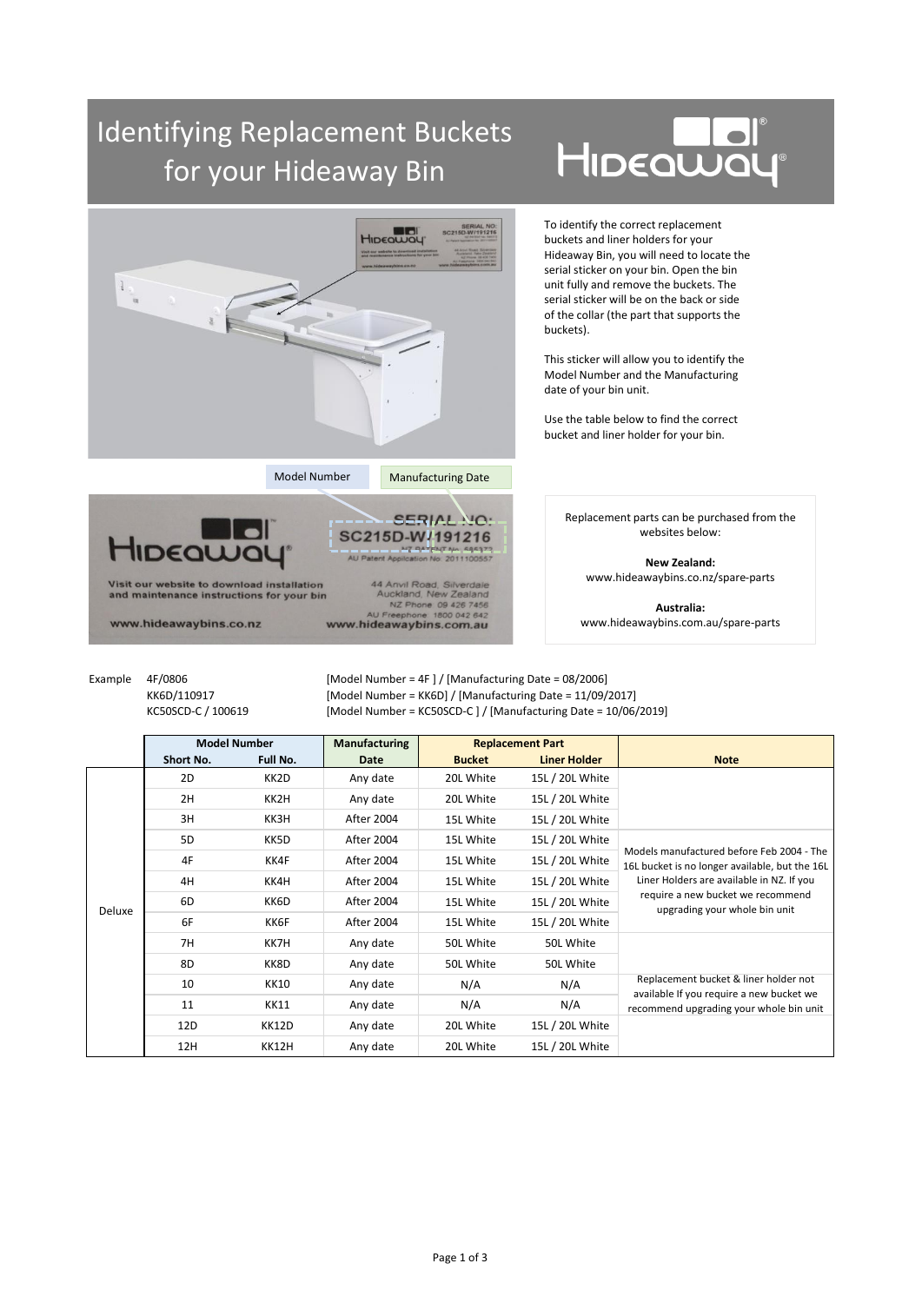## Identifying Replacement Buckets for your Hideaway Bin

## HIDEQWO



Example 4F/0806 [Model Number = 4F ] / [Manufacturing Date = 08/2006] KK6D/110917 [Model Number = KK6D] / [Manufacturing Date = 11/09/2017] KC50SCD-C / 100619 [Model Number = KC50SCD-C ] / [Manufacturing Date = 10/06/2019]

|        | <b>Model Number</b> |             | <b>Manufacturing</b> | <b>Replacement Part</b> |                     |                                                                                                                                                                                                                |
|--------|---------------------|-------------|----------------------|-------------------------|---------------------|----------------------------------------------------------------------------------------------------------------------------------------------------------------------------------------------------------------|
|        | Short No.           | Full No.    | Date                 | <b>Bucket</b>           | <b>Liner Holder</b> | <b>Note</b>                                                                                                                                                                                                    |
| Deluxe | 2D                  | KK2D        | Any date             | 20L White               | 15L / 20L White     |                                                                                                                                                                                                                |
|        | 2H                  | KK2H        | Any date             | 20L White               | 15L / 20L White     |                                                                                                                                                                                                                |
|        | 3H                  | KK3H        | <b>After 2004</b>    | 15L White               | 15L / 20L White     |                                                                                                                                                                                                                |
|        | 5 <sub>D</sub>      | KK5D        | After 2004           | 15L White               | 15L / 20L White     | Models manufactured before Feb 2004 - The<br>16L bucket is no longer available, but the 16L<br>Liner Holders are available in NZ. If you<br>require a new bucket we recommend<br>upgrading your whole bin unit |
|        | 4F                  | KK4F        | After 2004           | 15L White               | 15L / 20L White     |                                                                                                                                                                                                                |
|        | 4H                  | KK4H        | After 2004           | 15L White               | 15L / 20L White     |                                                                                                                                                                                                                |
|        | 6D                  | KK6D        | After 2004           | 15L White               | 15L / 20L White     |                                                                                                                                                                                                                |
|        | 6F                  | KK6F        | After 2004           | 15L White               | 15L / 20L White     |                                                                                                                                                                                                                |
|        | 7H                  | KK7H        | Any date             | 50L White               | 50L White           |                                                                                                                                                                                                                |
|        | 8D                  | KK8D        | Any date             | 50L White               | 50L White           |                                                                                                                                                                                                                |
|        | 10                  | <b>KK10</b> | Any date             | N/A                     | N/A                 | Replacement bucket & liner holder not<br>available If you require a new bucket we<br>recommend upgrading your whole bin unit                                                                                   |
|        | 11                  | <b>KK11</b> | Any date             | N/A                     | N/A                 |                                                                                                                                                                                                                |
|        | 12D                 | KK12D       | Any date             | 20L White               | 15L / 20L White     |                                                                                                                                                                                                                |
|        | 12H                 | KK12H       | Any date             | 20L White               | 15L / 20L White     |                                                                                                                                                                                                                |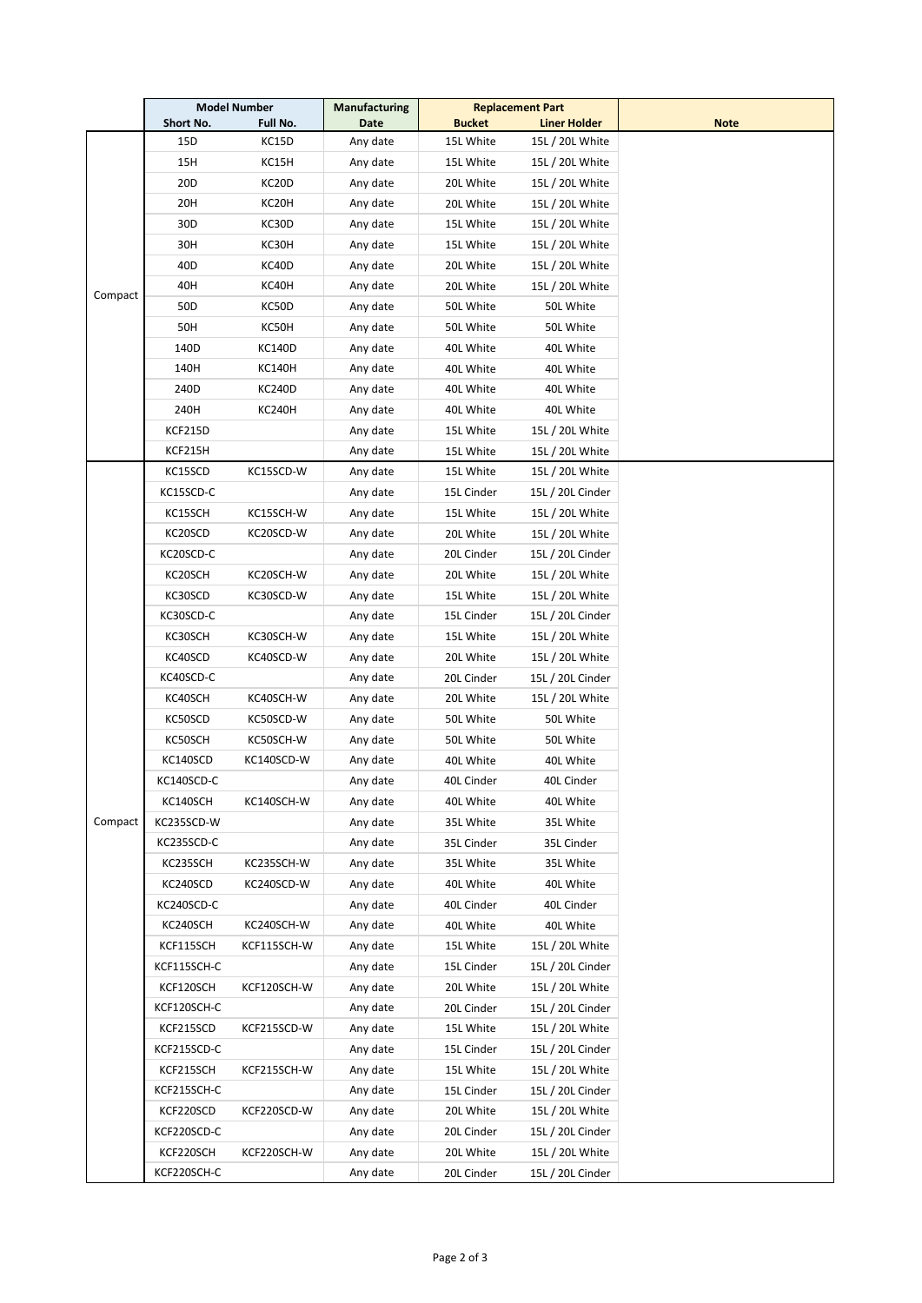|         | <b>Model Number</b> |               | <b>Manufacturing</b> | <b>Replacement Part</b> |                     |             |
|---------|---------------------|---------------|----------------------|-------------------------|---------------------|-------------|
|         | Short No.           | Full No.      | Date                 | <b>Bucket</b>           | <b>Liner Holder</b> | <b>Note</b> |
|         | 15D                 | KC15D         | Any date             | 15L White               | 15L / 20L White     |             |
|         | 15H                 | KC15H         | Any date             | 15L White               | 15L / 20L White     |             |
|         | 20D                 | KC20D         | Any date             | 20L White               | 15L / 20L White     |             |
|         | 20H                 | KC20H         | Any date             | 20L White               | 15L / 20L White     |             |
|         | 30D                 | KC30D         | Any date             | 15L White               | 15L / 20L White     |             |
|         | 30H                 | KC30H         | Any date             | 15L White               | 15L / 20L White     |             |
|         | 40D                 | KC40D         | Any date             | 20L White               | 15L / 20L White     |             |
|         | 40H                 | KC40H         | Any date             | 20L White               | 15L / 20L White     |             |
| Compact | 50D                 | KC50D         | Any date             | 50L White               | 50L White           |             |
|         | 50H                 | KC50H         | Any date             | 50L White               | 50L White           |             |
|         | 140D                | KC140D        | Any date             | 40L White               | 40L White           |             |
|         | 140H                | KC140H        | Any date             | 40L White               | 40L White           |             |
|         | 240D                | <b>KC240D</b> | Any date             | 40L White               | 40L White           |             |
|         | 240H                | <b>KC240H</b> | Any date             | 40L White               | 40L White           |             |
|         | KCF215D             |               | Any date             | 15L White               | 15L / 20L White     |             |
|         | KCF215H             |               | Any date             | 15L White               | 15L / 20L White     |             |
|         | KC15SCD             | KC15SCD-W     | Any date             | 15L White               | 15L / 20L White     |             |
|         | KC15SCD-C           |               | Any date             | 15L Cinder              | 15L / 20L Cinder    |             |
|         | KC15SCH             | KC15SCH-W     | Any date             | 15L White               | 15L / 20L White     |             |
|         | KC20SCD             | KC20SCD-W     | Any date             | 20L White               | 15L / 20L White     |             |
|         | KC20SCD-C           |               | Any date             | 20L Cinder              | 15L / 20L Cinder    |             |
|         | KC20SCH             | KC20SCH-W     | Any date             | 20L White               | 15L / 20L White     |             |
|         | KC30SCD             | KC30SCD-W     | Any date             | 15L White               | 15L / 20L White     |             |
|         | KC30SCD-C           |               | Any date             | 15L Cinder              | 15L / 20L Cinder    |             |
|         | KC30SCH             | KC30SCH-W     | Any date             | 15L White               | 15L / 20L White     |             |
|         | KC40SCD             | KC40SCD-W     | Any date             | 20L White               | 15L / 20L White     |             |
|         | KC40SCD-C           |               | Any date             | 20L Cinder              | 15L / 20L Cinder    |             |
|         | KC40SCH             | KC40SCH-W     | Any date             | 20L White               | 15L / 20L White     |             |
|         | KC50SCD             | KC50SCD-W     | Any date             | 50L White               | 50L White           |             |
|         | KC50SCH             | KC50SCH-W     | Any date             | 50L White               | 50L White           |             |
|         | KC140SCD            | KC140SCD-W    | Any date             | 40L White               | 40L White           |             |
|         | KC140SCD-C          |               | Any date             | 40L Cinder              | 40L Cinder          |             |
|         | KC140SCH            | KC140SCH-W    | Any date             | 40L White               | 40L White           |             |
| Compact | KC235SCD-W          |               | Any date             | 35L White               | 35L White           |             |
|         | KC235SCD-C          |               | Any date             |                         | 35L Cinder          |             |
|         |                     |               |                      | 35L Cinder              |                     |             |
|         | KC235SCH            | KC235SCH-W    | Any date             | 35L White               | 35L White           |             |
|         | KC240SCD            | KC240SCD-W    | Any date             | 40L White               | 40L White           |             |
|         | KC240SCD-C          |               | Any date             | 40L Cinder              | 40L Cinder          |             |
|         | KC240SCH            | KC240SCH-W    | Any date             | 40L White               | 40L White           |             |
|         | KCF115SCH           | KCF115SCH-W   | Any date             | 15L White               | 15L / 20L White     |             |
|         | KCF115SCH-C         |               | Any date             | 15L Cinder              | 15L / 20L Cinder    |             |
|         | KCF120SCH           | KCF120SCH-W   | Any date             | 20L White               | 15L / 20L White     |             |
|         | KCF120SCH-C         |               | Any date             | 20L Cinder              | 15L / 20L Cinder    |             |
|         | KCF215SCD           | KCF215SCD-W   | Any date             | 15L White               | 15L / 20L White     |             |
|         | KCF215SCD-C         |               | Any date             | 15L Cinder              | 15L / 20L Cinder    |             |
|         | KCF215SCH           | KCF215SCH-W   | Any date             | 15L White               | 15L / 20L White     |             |
|         | KCF215SCH-C         |               | Any date             | 15L Cinder              | 15L / 20L Cinder    |             |
|         | KCF220SCD           | KCF220SCD-W   | Any date             | 20L White               | 15L / 20L White     |             |
|         | KCF220SCD-C         |               | Any date             | 20L Cinder              | 15L / 20L Cinder    |             |
|         | KCF220SCH           | KCF220SCH-W   | Any date             | 20L White               | 15L / 20L White     |             |
|         | KCF220SCH-C         |               | Any date             | 20L Cinder              | 15L / 20L Cinder    |             |